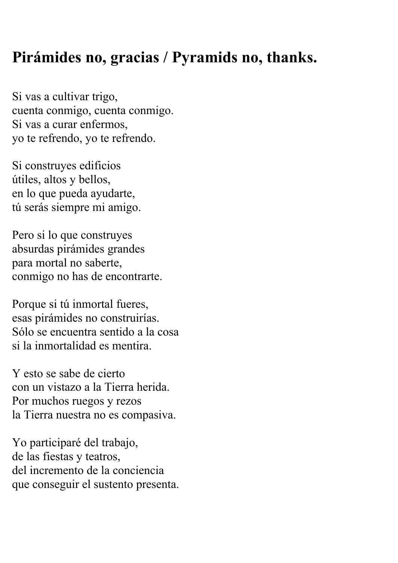## **Pirámides no, gracias / Pyramids no, thanks.**

Si vas a cultivar trigo, cuenta conmigo, cuenta conmigo. Si vas a curar enfermos, yo te refrendo, yo te refrendo.

Si construyes edificios útiles, altos y bellos, en lo que pueda ayudarte, tú serás siempre mi amigo.

Pero si lo que construyes absurdas pirámides grandes para mortal no saberte, conmigo no has de encontrarte.

Porque si tú inmortal fueres, esas pirámides no construirías. Sólo se encuentra sentido a la cosa si la inmortalidad es mentira.

Y esto se sabe de cierto con un vistazo a la Tierra herida. Por muchos ruegos y rezos la Tierra nuestra no es compasiva.

Yo participaré del trabajo, de las fiestas y teatros, del incremento de la conciencia que conseguir el sustento presenta.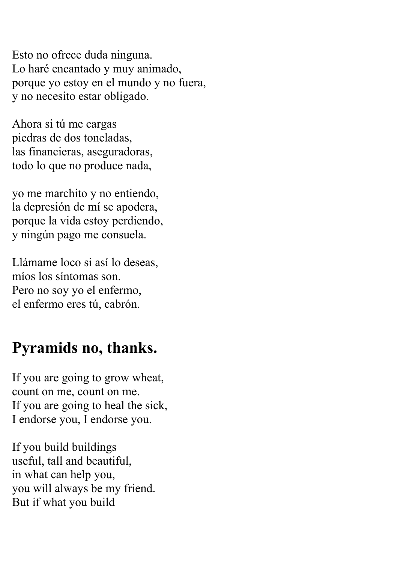Esto no ofrece duda ninguna. Lo haré encantado y muy animado, porque yo estoy en el mundo y no fuera, y no necesito estar obligado.

Ahora si tú me cargas piedras de dos toneladas, las financieras, aseguradoras, todo lo que no produce nada,

yo me marchito y no entiendo, la depresión de mí se apodera, porque la vida estoy perdiendo, y ningún pago me consuela.

Llámame loco si así lo deseas, míos los síntomas son. Pero no soy yo el enfermo, el enfermo eres tú, cabrón.

## **Pyramids no, thanks.**

If you are going to grow wheat, count on me, count on me. If you are going to heal the sick, I endorse you, I endorse you.

If you build buildings useful, tall and beautiful, in what can help you, you will always be my friend. But if what you build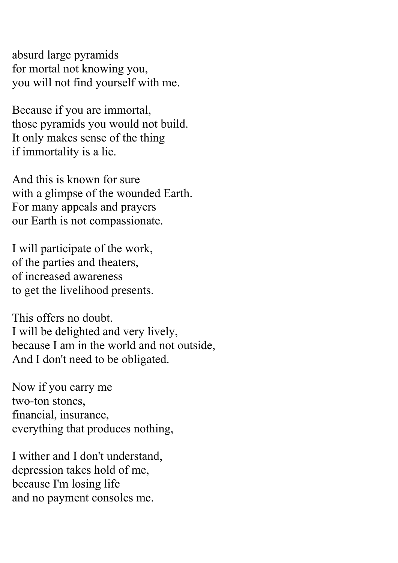absurd large pyramids for mortal not knowing you, you will not find yourself with me.

Because if you are immortal, those pyramids you would not build. It only makes sense of the thing if immortality is a lie.

And this is known for sure with a glimpse of the wounded Earth. For many appeals and prayers our Earth is not compassionate.

I will participate of the work, of the parties and theaters, of increased awareness to get the livelihood presents.

This offers no doubt. I will be delighted and very lively, because I am in the world and not outside, And I don't need to be obligated.

Now if you carry me two-ton stones, financial, insurance, everything that produces nothing,

I wither and I don't understand, depression takes hold of me, because I'm losing life and no payment consoles me.